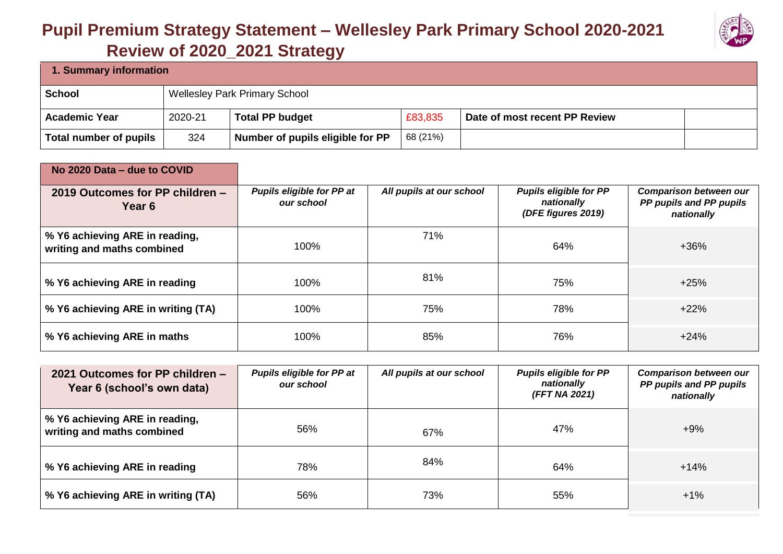## **Pupil Premium Strategy Statement – Wellesley Park Primary School 2020-2021**



| 1. Summary information |         |                                      |          |                               |  |  |
|------------------------|---------|--------------------------------------|----------|-------------------------------|--|--|
| School                 |         | <b>Wellesley Park Primary School</b> |          |                               |  |  |
| <b>Academic Year</b>   | 2020-21 | <b>Total PP budget</b>               | £83,835  | Date of most recent PP Review |  |  |
| Total number of pupils | 324     | Number of pupils eligible for PP     | 68 (21%) |                               |  |  |

| No 2020 Data – due to COVID                                  |                                                |                          |                                                                   |                                                                        |
|--------------------------------------------------------------|------------------------------------------------|--------------------------|-------------------------------------------------------------------|------------------------------------------------------------------------|
| 2019 Outcomes for PP children -<br>Year 6                    | <b>Pupils eligible for PP at</b><br>our school | All pupils at our school | <b>Pupils eligible for PP</b><br>nationally<br>(DFE figures 2019) | <b>Comparison between our</b><br>PP pupils and PP pupils<br>nationally |
| % Y6 achieving ARE in reading,<br>writing and maths combined | 100%                                           | 71%                      | 64%                                                               | $+36%$                                                                 |
| % Y6 achieving ARE in reading                                | 100%                                           | 81%                      | 75%                                                               | $+25%$                                                                 |
| % Y6 achieving ARE in writing (TA)                           | 100%                                           | 75%                      | 78%                                                               | $+22%$                                                                 |
| % Y6 achieving ARE in maths                                  | 100%                                           | 85%                      | 76%                                                               | $+24%$                                                                 |

| 2021 Outcomes for PP children -<br>Year 6 (school's own data) | <b>Pupils eligible for PP at</b><br>our school | All pupils at our school | <b>Pupils eligible for PP</b><br>nationally<br>(FFT NA 2021) | <b>Comparison between our</b><br>PP pupils and PP pupils<br>nationally |
|---------------------------------------------------------------|------------------------------------------------|--------------------------|--------------------------------------------------------------|------------------------------------------------------------------------|
| % Y6 achieving ARE in reading,<br>writing and maths combined  | 56%                                            | 67%                      | 47%                                                          | $+9%$                                                                  |
| % Y6 achieving ARE in reading                                 | 78%                                            | 84%                      | 64%                                                          | $+14%$                                                                 |
| % Y6 achieving ARE in writing (TA)                            | 56%                                            | 73%                      | 55%                                                          | $+1\%$                                                                 |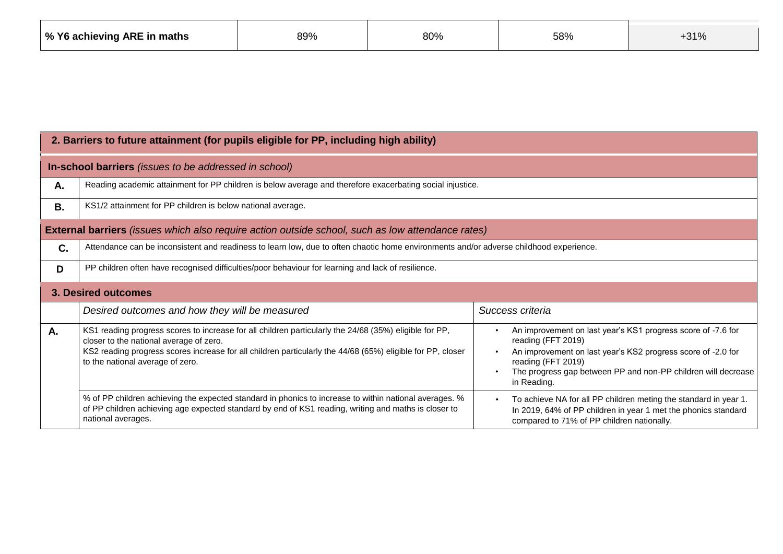| │ % Y6 achieving ARE in maths | 89% | 80% | 58% | <b>D 4 O</b><br>- J I 70 |
|-------------------------------|-----|-----|-----|--------------------------|
|-------------------------------|-----|-----|-----|--------------------------|

|    | 2. Barriers to future attainment (for pupils eligible for PP, including high ability)                                                                                                                                                                                                                                                                                                                         |                                                                                                                                                                                                                                                                                                                                           |  |  |  |  |
|----|---------------------------------------------------------------------------------------------------------------------------------------------------------------------------------------------------------------------------------------------------------------------------------------------------------------------------------------------------------------------------------------------------------------|-------------------------------------------------------------------------------------------------------------------------------------------------------------------------------------------------------------------------------------------------------------------------------------------------------------------------------------------|--|--|--|--|
|    | In-school barriers (issues to be addressed in school)                                                                                                                                                                                                                                                                                                                                                         |                                                                                                                                                                                                                                                                                                                                           |  |  |  |  |
| Α. | Reading academic attainment for PP children is below average and therefore exacerbating social injustice.                                                                                                                                                                                                                                                                                                     |                                                                                                                                                                                                                                                                                                                                           |  |  |  |  |
| Β. | KS1/2 attainment for PP children is below national average.                                                                                                                                                                                                                                                                                                                                                   |                                                                                                                                                                                                                                                                                                                                           |  |  |  |  |
|    | <b>External barriers</b> (issues which also require action outside school, such as low attendance rates)                                                                                                                                                                                                                                                                                                      |                                                                                                                                                                                                                                                                                                                                           |  |  |  |  |
| C. | Attendance can be inconsistent and readiness to learn low, due to often chaotic home environments and/or adverse childhood experience.                                                                                                                                                                                                                                                                        |                                                                                                                                                                                                                                                                                                                                           |  |  |  |  |
| D  | PP children often have recognised difficulties/poor behaviour for learning and lack of resilience.                                                                                                                                                                                                                                                                                                            |                                                                                                                                                                                                                                                                                                                                           |  |  |  |  |
|    | <b>3. Desired outcomes</b>                                                                                                                                                                                                                                                                                                                                                                                    |                                                                                                                                                                                                                                                                                                                                           |  |  |  |  |
|    | Desired outcomes and how they will be measured                                                                                                                                                                                                                                                                                                                                                                | Success criteria                                                                                                                                                                                                                                                                                                                          |  |  |  |  |
| А. | KS1 reading progress scores to increase for all children particularly the 24/68 (35%) eligible for PP,<br>closer to the national average of zero.<br>KS2 reading progress scores increase for all children particularly the 44/68 (65%) eligible for PP, closer<br>to the national average of zero.<br>% of PP children achieving the expected standard in phonics to increase to within national averages. % | An improvement on last year's KS1 progress score of -7.6 for<br>reading (FFT 2019)<br>An improvement on last year's KS2 progress score of -2.0 for<br>reading (FFT 2019)<br>The progress gap between PP and non-PP children will decrease<br>in Reading.<br>To achieve NA for all PP children meting the standard in year 1.<br>$\bullet$ |  |  |  |  |
|    | of PP children achieving age expected standard by end of KS1 reading, writing and maths is closer to<br>national averages.                                                                                                                                                                                                                                                                                    | In 2019, 64% of PP children in year 1 met the phonics standard<br>compared to 71% of PP children nationally.                                                                                                                                                                                                                              |  |  |  |  |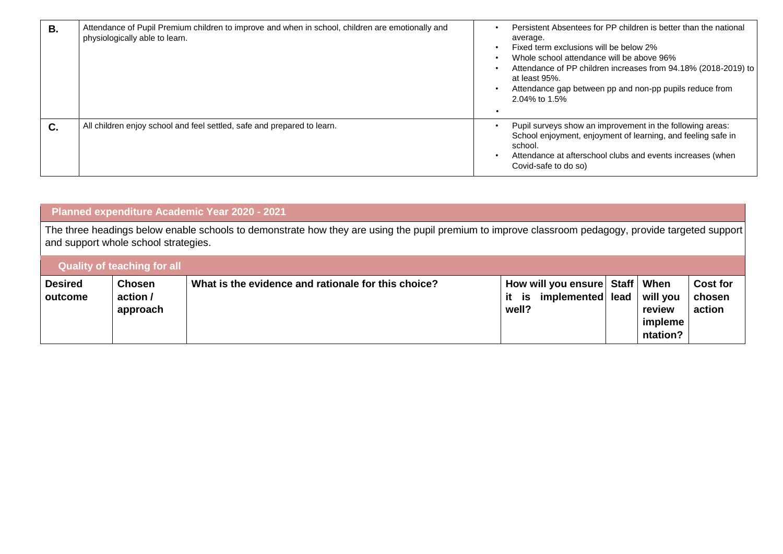| <b>B.</b> | Attendance of Pupil Premium children to improve and when in school, children are emotionally and<br>physiologically able to learn. | Persistent Absentees for PP children is better than the national<br>average.<br>Fixed term exclusions will be below 2%<br>Whole school attendance will be above 96%<br>Attendance of PP children increases from 94.18% (2018-2019) to<br>at least 95%.<br>Attendance gap between pp and non-pp pupils reduce from<br>2.04% to 1.5% |
|-----------|------------------------------------------------------------------------------------------------------------------------------------|------------------------------------------------------------------------------------------------------------------------------------------------------------------------------------------------------------------------------------------------------------------------------------------------------------------------------------|
| C.        | All children enjoy school and feel settled, safe and prepared to learn.                                                            | Pupil surveys show an improvement in the following areas:<br>School enjoyment, enjoyment of learning, and feeling safe in<br>school.<br>Attendance at afterschool clubs and events increases (when<br>Covid-safe to do so)                                                                                                         |

|                                                                                                                                                                                               |                                       | Planned expenditure Academic Year 2020 - 2021       |                                                                           |  |                                           |                                     |
|-----------------------------------------------------------------------------------------------------------------------------------------------------------------------------------------------|---------------------------------------|-----------------------------------------------------|---------------------------------------------------------------------------|--|-------------------------------------------|-------------------------------------|
| The three headings below enable schools to demonstrate how they are using the pupil premium to improve classroom pedagogy, provide targeted support  <br>and support whole school strategies. |                                       |                                                     |                                                                           |  |                                           |                                     |
|                                                                                                                                                                                               | <b>Quality of teaching for all</b>    |                                                     |                                                                           |  |                                           |                                     |
| <b>Desired</b><br>outcome                                                                                                                                                                     | <b>Chosen</b><br>action /<br>approach | What is the evidence and rationale for this choice? | How will you ensure Staff   When<br>implemented lead<br>it<br>is<br>well? |  | will you<br>review<br>impleme<br>ntation? | <b>Cost for</b><br>chosen<br>action |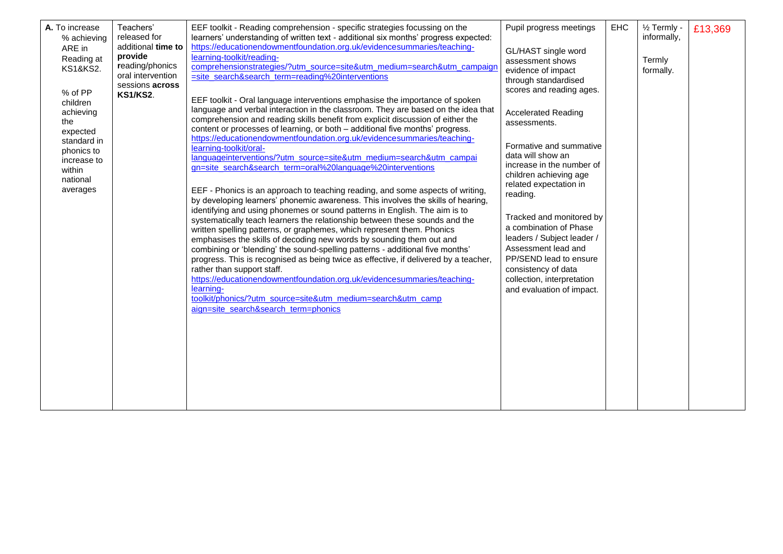| A. To increase<br>% achieving<br>ARE in<br>Reading at<br><b>KS1&amp;KS2.</b><br>% of PP<br>children<br>achieving<br>the<br>expected<br>standard in<br>phonics to<br>increase to<br>within<br>national<br>averages | Teachers'<br>released for<br>additional time to<br>provide<br>reading/phonics<br>oral intervention<br>sessions across<br><b>KS1/KS2.</b> | EEF toolkit - Reading comprehension - specific strategies focussing on the<br>learners' understanding of written text - additional six months' progress expected:<br>https://educationendowmentfoundation.org.uk/evidencesummaries/teaching-<br>learning-toolkit/reading-<br>comprehensionstrategies/?utm_source=site&utm_medium=search&utm_campaign<br>=site_search&search_term=reading%20interventions<br>EEF toolkit - Oral language interventions emphasise the importance of spoken<br>language and verbal interaction in the classroom. They are based on the idea that<br>comprehension and reading skills benefit from explicit discussion of either the<br>content or processes of learning, or both - additional five months' progress.<br>https://educationendowmentfoundation.org.uk/evidencesummaries/teaching-<br>learning-toolkit/oral-<br>languageinterventions/?utm_source=site&utm_medium=search&utm_campai<br>gn=site_search&search_term=oral%20language%20interventions<br>EEF - Phonics is an approach to teaching reading, and some aspects of writing,<br>by developing learners' phonemic awareness. This involves the skills of hearing,<br>identifying and using phonemes or sound patterns in English. The aim is to<br>systematically teach learners the relationship between these sounds and the<br>written spelling patterns, or graphemes, which represent them. Phonics<br>emphasises the skills of decoding new words by sounding them out and<br>combining or 'blending' the sound-spelling patterns - additional five months'<br>progress. This is recognised as being twice as effective, if delivered by a teacher,<br>rather than support staff.<br>https://educationendowmentfoundation.org.uk/evidencesummaries/teaching-<br>learning-<br>toolkit/phonics/?utm_source=site&utm_medium=search&utm_camp<br>aign=site_search&search_term=phonics | Pupil progress meetings<br>GL/HAST single word<br>assessment shows<br>evidence of impact<br>through standardised<br>scores and reading ages.<br><b>Accelerated Reading</b><br>assessments.<br>Formative and summative<br>data will show an<br>increase in the number of<br>children achieving age<br>related expectation in<br>reading.<br>Tracked and monitored by<br>a combination of Phase<br>leaders / Subject leader /<br>Assessment lead and<br>PP/SEND lead to ensure<br>consistency of data<br>collection, interpretation<br>and evaluation of impact. | <b>EHC</b> | 1/ <sub>2</sub> Termly -<br>informally,<br>Termly<br>formally. | £13,369 |
|-------------------------------------------------------------------------------------------------------------------------------------------------------------------------------------------------------------------|------------------------------------------------------------------------------------------------------------------------------------------|----------------------------------------------------------------------------------------------------------------------------------------------------------------------------------------------------------------------------------------------------------------------------------------------------------------------------------------------------------------------------------------------------------------------------------------------------------------------------------------------------------------------------------------------------------------------------------------------------------------------------------------------------------------------------------------------------------------------------------------------------------------------------------------------------------------------------------------------------------------------------------------------------------------------------------------------------------------------------------------------------------------------------------------------------------------------------------------------------------------------------------------------------------------------------------------------------------------------------------------------------------------------------------------------------------------------------------------------------------------------------------------------------------------------------------------------------------------------------------------------------------------------------------------------------------------------------------------------------------------------------------------------------------------------------------------------------------------------------------------------------------------------------------------------------------------------------------------------------------------------------------------|----------------------------------------------------------------------------------------------------------------------------------------------------------------------------------------------------------------------------------------------------------------------------------------------------------------------------------------------------------------------------------------------------------------------------------------------------------------------------------------------------------------------------------------------------------------|------------|----------------------------------------------------------------|---------|
|-------------------------------------------------------------------------------------------------------------------------------------------------------------------------------------------------------------------|------------------------------------------------------------------------------------------------------------------------------------------|----------------------------------------------------------------------------------------------------------------------------------------------------------------------------------------------------------------------------------------------------------------------------------------------------------------------------------------------------------------------------------------------------------------------------------------------------------------------------------------------------------------------------------------------------------------------------------------------------------------------------------------------------------------------------------------------------------------------------------------------------------------------------------------------------------------------------------------------------------------------------------------------------------------------------------------------------------------------------------------------------------------------------------------------------------------------------------------------------------------------------------------------------------------------------------------------------------------------------------------------------------------------------------------------------------------------------------------------------------------------------------------------------------------------------------------------------------------------------------------------------------------------------------------------------------------------------------------------------------------------------------------------------------------------------------------------------------------------------------------------------------------------------------------------------------------------------------------------------------------------------------------|----------------------------------------------------------------------------------------------------------------------------------------------------------------------------------------------------------------------------------------------------------------------------------------------------------------------------------------------------------------------------------------------------------------------------------------------------------------------------------------------------------------------------------------------------------------|------------|----------------------------------------------------------------|---------|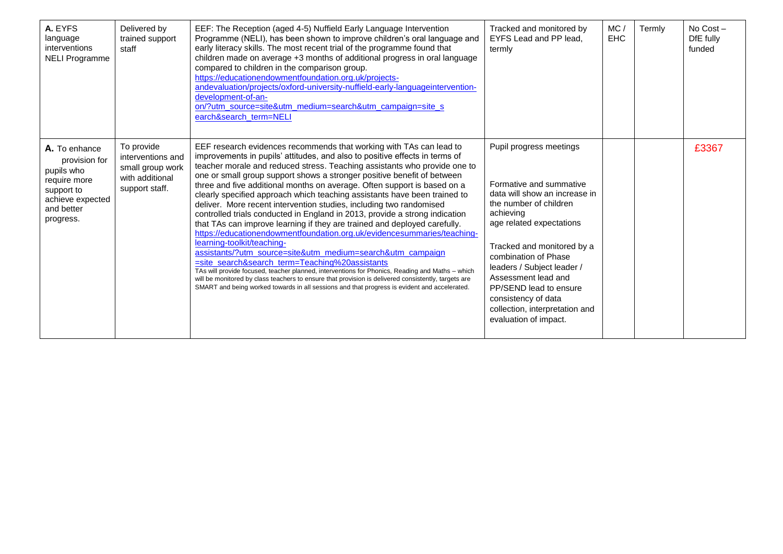| A. EYFS<br>language<br>interventions<br><b>NELI Programme</b>                                                             | Delivered by<br>trained support<br>staff                                                 | EEF: The Reception (aged 4-5) Nuffield Early Language Intervention<br>Programme (NELI), has been shown to improve children's oral language and<br>early literacy skills. The most recent trial of the programme found that<br>children made on average +3 months of additional progress in oral language<br>compared to children in the comparison group.<br>https://educationendowmentfoundation.org.uk/projects-<br>andevaluation/projects/oxford-university-nuffield-early-languageintervention-<br>development-of-an-<br>on/?utm_source=site&utm_medium=search&utm_campaign=site_s<br>earch&search_term=NELI                                                                                                                                                                                                                                                                                                                                                                                                                                                                                                                                                                                                                          | Tracked and monitored by<br>EYFS Lead and PP lead.<br>termly                                                                                                                                                                                                                                                                                                                  | MC/<br><b>EHC</b> | Termly | No Cost-<br>DfE fully<br>funded |
|---------------------------------------------------------------------------------------------------------------------------|------------------------------------------------------------------------------------------|-------------------------------------------------------------------------------------------------------------------------------------------------------------------------------------------------------------------------------------------------------------------------------------------------------------------------------------------------------------------------------------------------------------------------------------------------------------------------------------------------------------------------------------------------------------------------------------------------------------------------------------------------------------------------------------------------------------------------------------------------------------------------------------------------------------------------------------------------------------------------------------------------------------------------------------------------------------------------------------------------------------------------------------------------------------------------------------------------------------------------------------------------------------------------------------------------------------------------------------------|-------------------------------------------------------------------------------------------------------------------------------------------------------------------------------------------------------------------------------------------------------------------------------------------------------------------------------------------------------------------------------|-------------------|--------|---------------------------------|
| A. To enhance<br>provision for<br>pupils who<br>require more<br>support to<br>achieve expected<br>and better<br>progress. | To provide<br>interventions and<br>small group work<br>with additional<br>support staff. | EEF research evidences recommends that working with TAs can lead to<br>improvements in pupils' attitudes, and also to positive effects in terms of<br>teacher morale and reduced stress. Teaching assistants who provide one to<br>one or small group support shows a stronger positive benefit of between<br>three and five additional months on average. Often support is based on a<br>clearly specified approach which teaching assistants have been trained to<br>deliver. More recent intervention studies, including two randomised<br>controlled trials conducted in England in 2013, provide a strong indication<br>that TAs can improve learning if they are trained and deployed carefully.<br>https://educationendowmentfoundation.org.uk/evidencesummaries/teaching-<br>learning-toolkit/teaching-<br>assistants/?utm_source=site&utm_medium=search&utm_campaign<br>=site search&search term=Teaching%20assistants<br>TAs will provide focused, teacher planned, interventions for Phonics, Reading and Maths - which<br>will be monitored by class teachers to ensure that provision is delivered consistently, targets are<br>SMART and being worked towards in all sessions and that progress is evident and accelerated. | Pupil progress meetings<br>Formative and summative<br>data will show an increase in<br>the number of children<br>achieving<br>age related expectations<br>Tracked and monitored by a<br>combination of Phase<br>leaders / Subject leader /<br>Assessment lead and<br>PP/SEND lead to ensure<br>consistency of data<br>collection, interpretation and<br>evaluation of impact. |                   |        | £3367                           |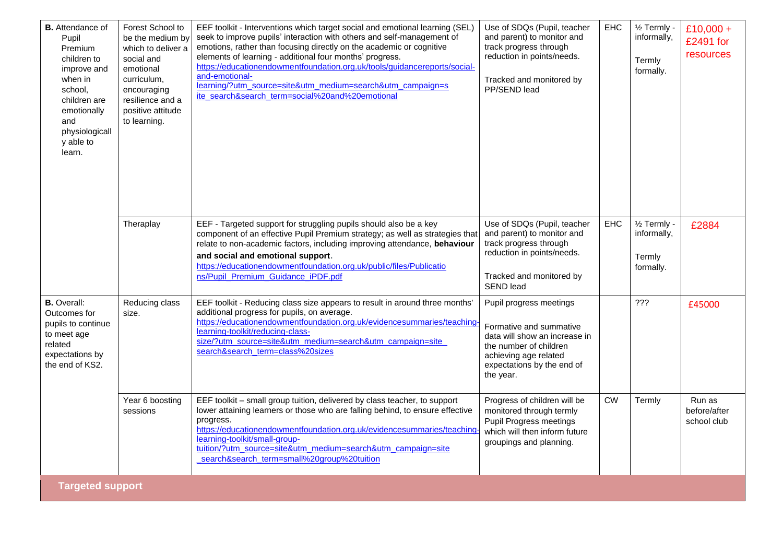| <b>B.</b> Attendance of<br>Pupil<br>Premium<br>children to<br>improve and<br>when in<br>school.<br>children are<br>emotionally<br>and<br>physiologicall<br>y able to<br>learn. | Forest School to<br>be the medium by<br>which to deliver a<br>social and<br>emotional<br>curriculum,<br>encouraging<br>resilience and a<br>positive attitude<br>to learning. | EEF toolkit - Interventions which target social and emotional learning (SEL)<br>seek to improve pupils' interaction with others and self-management of<br>emotions, rather than focusing directly on the academic or cognitive<br>elements of learning - additional four months' progress.<br>https://educationendowmentfoundation.org.uk/tools/guidancereports/social-<br>and-emotional-<br>learning/?utm_source=site&utm_medium=search&utm_campaign=s<br>ite search&search_term=social%20and%20emotional | Use of SDQs (Pupil, teacher<br>and parent) to monitor and<br>track progress through<br>reduction in points/needs.<br>Tracked and monitored by<br>PP/SEND lead                     | EHC       | 1/ <sub>2</sub> Termly -<br>informally,<br>Termly<br>formally. | £10,000 +<br>£2491 for<br>resources   |
|--------------------------------------------------------------------------------------------------------------------------------------------------------------------------------|------------------------------------------------------------------------------------------------------------------------------------------------------------------------------|------------------------------------------------------------------------------------------------------------------------------------------------------------------------------------------------------------------------------------------------------------------------------------------------------------------------------------------------------------------------------------------------------------------------------------------------------------------------------------------------------------|-----------------------------------------------------------------------------------------------------------------------------------------------------------------------------------|-----------|----------------------------------------------------------------|---------------------------------------|
|                                                                                                                                                                                | Theraplay                                                                                                                                                                    | EEF - Targeted support for struggling pupils should also be a key<br>component of an effective Pupil Premium strategy; as well as strategies that<br>relate to non-academic factors, including improving attendance, behaviour<br>and social and emotional support.<br>https://educationendowmentfoundation.org.uk/public/files/Publicatio<br>ns/Pupil_Premium_Guidance_iPDF.pdf                                                                                                                           | Use of SDQs (Pupil, teacher<br>and parent) to monitor and<br>track progress through<br>reduction in points/needs.<br>Tracked and monitored by<br><b>SEND lead</b>                 | EHC       | 1/ <sub>2</sub> Termly -<br>informally,<br>Termly<br>formally. | £2884                                 |
| <b>B.</b> Overall:<br>Outcomes for<br>pupils to continue<br>to meet age<br>related<br>expectations by<br>the end of KS2.                                                       | Reducing class<br>size.                                                                                                                                                      | EEF toolkit - Reducing class size appears to result in around three months'<br>additional progress for pupils, on average.<br>https://educationendowmentfoundation.org.uk/evidencesummaries/teaching<br>learning-toolkit/reducing-class-<br>size/?utm_source=site&utm_medium=search&utm_campaign=site<br>search&search_term=class%20sizes                                                                                                                                                                  | Pupil progress meetings<br>Formative and summative<br>data will show an increase in<br>the number of children<br>achieving age related<br>expectations by the end of<br>the year. |           | ???                                                            | £45000                                |
|                                                                                                                                                                                | Year 6 boosting<br>sessions                                                                                                                                                  | EEF toolkit - small group tuition, delivered by class teacher, to support<br>lower attaining learners or those who are falling behind, to ensure effective<br>progress.<br>https://educationendowmentfoundation.org.uk/evidencesummaries/teaching<br>learning-toolkit/small-group-<br>tuition/?utm_source=site&utm_medium=search&utm_campaign=site<br>search&search_term=small%20group%20tuition                                                                                                           | Progress of children will be<br>monitored through termly<br>Pupil Progress meetings<br>which will then inform future<br>groupings and planning.                                   | <b>CW</b> | Termly                                                         | Run as<br>before/after<br>school club |
| <b>Targeted support</b>                                                                                                                                                        |                                                                                                                                                                              |                                                                                                                                                                                                                                                                                                                                                                                                                                                                                                            |                                                                                                                                                                                   |           |                                                                |                                       |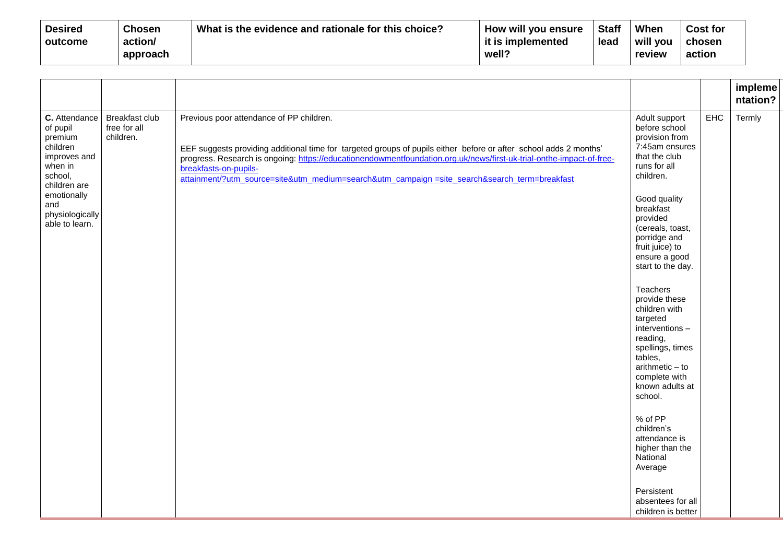| <b>Desired</b> | <b>Chosen</b> | What is the evidence and rationale for this choice? | How will you ensure | <b>Staff</b> | When     | <b>Cost for</b> |
|----------------|---------------|-----------------------------------------------------|---------------------|--------------|----------|-----------------|
| outcome        | action/       |                                                     | it is implemented   | lead         | will you | chosen          |
|                | approach      |                                                     | well?               |              | review   | action          |

|                                                                                                                                                                   |                                             |                                                                                                                                                                                                                                                                                                                                                                                                                 |                                                                                                                                                                                                                                                                                                                                                                                                                                                                                                                                                                                                 |     | impleme<br>ntation? |
|-------------------------------------------------------------------------------------------------------------------------------------------------------------------|---------------------------------------------|-----------------------------------------------------------------------------------------------------------------------------------------------------------------------------------------------------------------------------------------------------------------------------------------------------------------------------------------------------------------------------------------------------------------|-------------------------------------------------------------------------------------------------------------------------------------------------------------------------------------------------------------------------------------------------------------------------------------------------------------------------------------------------------------------------------------------------------------------------------------------------------------------------------------------------------------------------------------------------------------------------------------------------|-----|---------------------|
| C. Attendance<br>of pupil<br>premium<br>children<br>improves and<br>when in<br>school,<br>children are<br>emotionally<br>and<br>physiologically<br>able to learn. | Breakfast club<br>free for all<br>children. | Previous poor attendance of PP children.<br>EEF suggests providing additional time for targeted groups of pupils either before or after school adds 2 months'<br>progress. Research is ongoing: https://educationendowmentfoundation.org.uk/news/first-uk-trial-onthe-impact-of-free-<br>breakfasts-on-pupils-<br>attainment/?utm_source=site&utm_medium=search&utm_campaign =site_search&search_term=breakfast | Adult support<br>before school<br>provision from<br>7:45am ensures<br>that the club<br>runs for all<br>children.<br>Good quality<br>breakfast<br>provided<br>(cereals, toast,<br>porridge and<br>fruit juice) to<br>ensure a good<br>start to the day.<br>Teachers<br>provide these<br>children with<br>targeted<br>interventions -<br>reading,<br>spellings, times<br>tables,<br>$arithmetic - to$<br>complete with<br>known adults at<br>school.<br>% of PP<br>children's<br>attendance is<br>higher than the<br>National<br>Average<br>Persistent<br>absentees for all<br>children is better | EHC | Termly              |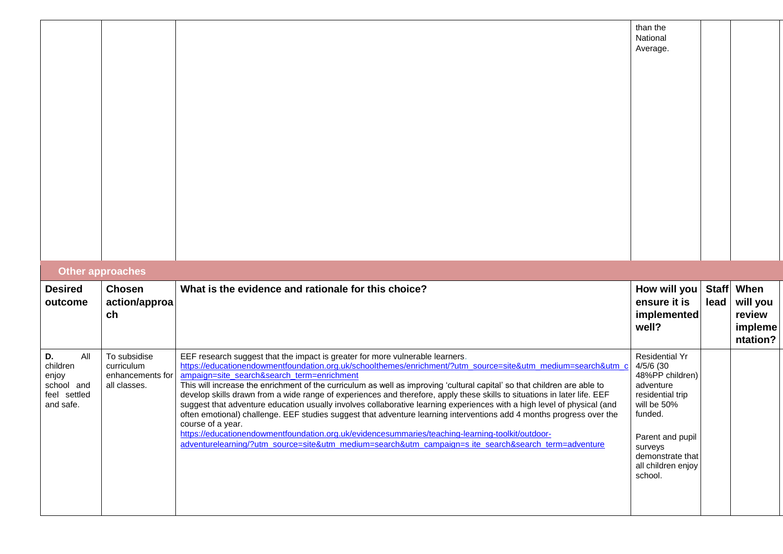|                                                                           |                                                                |                                                                                                                                                                                                                                                                                                                                                                                                                                                                                                                                                                                                                                                                                                                                                                                                                                                                                                                                                                                        | than the<br>National<br>Average.                                                                                                                                                                     |                      |                                                   |
|---------------------------------------------------------------------------|----------------------------------------------------------------|----------------------------------------------------------------------------------------------------------------------------------------------------------------------------------------------------------------------------------------------------------------------------------------------------------------------------------------------------------------------------------------------------------------------------------------------------------------------------------------------------------------------------------------------------------------------------------------------------------------------------------------------------------------------------------------------------------------------------------------------------------------------------------------------------------------------------------------------------------------------------------------------------------------------------------------------------------------------------------------|------------------------------------------------------------------------------------------------------------------------------------------------------------------------------------------------------|----------------------|---------------------------------------------------|
|                                                                           | Other approaches                                               |                                                                                                                                                                                                                                                                                                                                                                                                                                                                                                                                                                                                                                                                                                                                                                                                                                                                                                                                                                                        |                                                                                                                                                                                                      |                      |                                                   |
| <b>Desired</b><br>outcome                                                 | <b>Chosen</b><br>action/approa<br>ch                           | What is the evidence and rationale for this choice?                                                                                                                                                                                                                                                                                                                                                                                                                                                                                                                                                                                                                                                                                                                                                                                                                                                                                                                                    | How will you<br>ensure it is<br>implemented<br>well?                                                                                                                                                 | <b>Staff</b><br>lead | When<br>will you<br>review<br>impleme<br>ntation? |
| D.<br>All<br>children<br>enjoy<br>school and<br>feel settled<br>and safe. | To subsidise<br>curriculum<br>enhancements for<br>all classes. | EEF research suggest that the impact is greater for more vulnerable learners.<br>https://educationendowmentfoundation.org.uk/schoolthemes/enrichment/?utm_source=site&utm_medium=search&utm_<br>ampaign=site_search&search_term=enrichment<br>This will increase the enrichment of the curriculum as well as improving 'cultural capital' so that children are able to<br>develop skills drawn from a wide range of experiences and therefore, apply these skills to situations in later life. EEF<br>suggest that adventure education usually involves collaborative learning experiences with a high level of physical (and<br>often emotional) challenge. EEF studies suggest that adventure learning interventions add 4 months progress over the<br>course of a year.<br>https://educationendowmentfoundation.org.uk/evidencesummaries/teaching-learning-toolkit/outdoor-<br>adventurelearning/?utm_source=site&utm_medium=search&utm_campaign=s ite_search&search_term=adventure | <b>Residential Yr</b><br>4/5/6 (30<br>48%PP children)<br>adventure<br>residential trip<br>will be 50%<br>funded.<br>Parent and pupil<br>surveys<br>demonstrate that<br>all children enjoy<br>school. |                      |                                                   |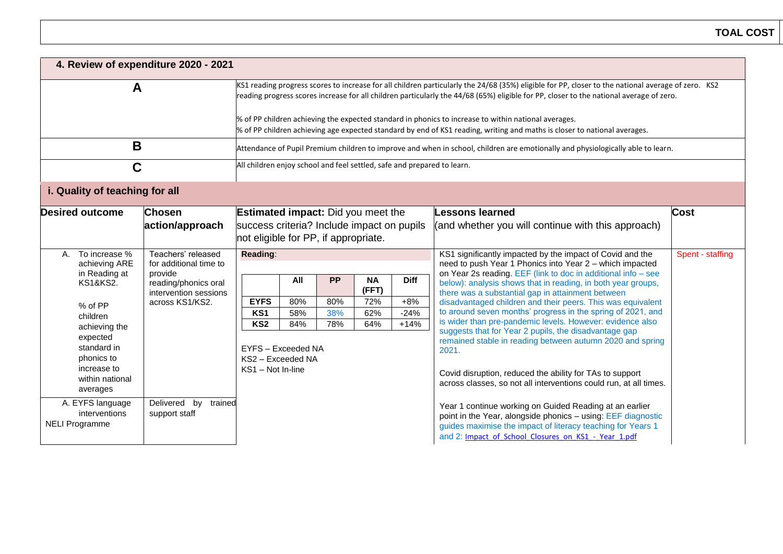| 4. Review of expenditure 2020 - 2021                                                |                                                                                                                                                                                                                                                                                                                                                                                                                                                                                                                                    |                                                                                                                                 |            |            |                    |                 |                                                                                                                                                                                                                                                                                                             |                  |  |
|-------------------------------------------------------------------------------------|------------------------------------------------------------------------------------------------------------------------------------------------------------------------------------------------------------------------------------------------------------------------------------------------------------------------------------------------------------------------------------------------------------------------------------------------------------------------------------------------------------------------------------|---------------------------------------------------------------------------------------------------------------------------------|------------|------------|--------------------|-----------------|-------------------------------------------------------------------------------------------------------------------------------------------------------------------------------------------------------------------------------------------------------------------------------------------------------------|------------------|--|
| A                                                                                   | KS1 reading progress scores to increase for all children particularly the 24/68 (35%) eligible for PP, closer to the national average of zero. KS2<br>reading progress scores increase for all children particularly the 44/68 (65%) eligible for PP, closer to the national average of zero.<br>% of PP children achieving the expected standard in phonics to increase to within national averages.<br>% of PP children achieving age expected standard by end of KS1 reading, writing and maths is closer to national averages. |                                                                                                                                 |            |            |                    |                 |                                                                                                                                                                                                                                                                                                             |                  |  |
| B                                                                                   |                                                                                                                                                                                                                                                                                                                                                                                                                                                                                                                                    |                                                                                                                                 |            |            |                    |                 | Attendance of Pupil Premium children to improve and when in school, children are emotionally and physiologically able to learn.                                                                                                                                                                             |                  |  |
| C                                                                                   |                                                                                                                                                                                                                                                                                                                                                                                                                                                                                                                                    | All children enjoy school and feel settled, safe and prepared to learn.                                                         |            |            |                    |                 |                                                                                                                                                                                                                                                                                                             |                  |  |
| i. Quality of teaching for all                                                      |                                                                                                                                                                                                                                                                                                                                                                                                                                                                                                                                    |                                                                                                                                 |            |            |                    |                 |                                                                                                                                                                                                                                                                                                             |                  |  |
| <b>Desired outcome</b>                                                              | <b>Chosen</b><br>action/approach                                                                                                                                                                                                                                                                                                                                                                                                                                                                                                   | <b>Estimated impact:</b> Did you meet the<br>success criteria? Include impact on pupils<br>not eligible for PP, if appropriate. |            |            |                    |                 | <b>Lessons learned</b><br>(and whether you will continue with this approach)                                                                                                                                                                                                                                | <b>Cost</b>      |  |
| To increase %<br>$A_{-}$<br>achieving ARE<br>in Reading at                          | Teachers' released<br>for additional time to<br>provide<br>reading/phonics oral<br>intervention sessions<br>across KS1/KS2.                                                                                                                                                                                                                                                                                                                                                                                                        | Reading:                                                                                                                        |            |            |                    |                 | KS1 significantly impacted by the impact of Covid and the<br>need to push Year 1 Phonics into Year 2 - which impacted<br>on Year 2s reading. EEF (link to doc in additional info - see<br>below): analysis shows that in reading, in both year groups,<br>there was a substantial gap in attainment between | Spent - staffing |  |
| <b>KS1&amp;KS2.</b>                                                                 |                                                                                                                                                                                                                                                                                                                                                                                                                                                                                                                                    |                                                                                                                                 | All        | <b>PP</b>  | <b>NA</b><br>(FFT) | <b>Diff</b>     |                                                                                                                                                                                                                                                                                                             |                  |  |
| % of PP                                                                             |                                                                                                                                                                                                                                                                                                                                                                                                                                                                                                                                    | <b>EYFS</b><br>KS1                                                                                                              | 80%<br>58% | 80%<br>38% | 72%<br>62%         | $+8%$<br>$-24%$ | disadvantaged children and their peers. This was equivalent<br>to around seven months' progress in the spring of 2021, and                                                                                                                                                                                  |                  |  |
| children<br>achieving the                                                           |                                                                                                                                                                                                                                                                                                                                                                                                                                                                                                                                    | KS <sub>2</sub>                                                                                                                 | 84%        | 78%        | 64%                | $+14%$          | is wider than pre-pandemic levels. However: evidence also                                                                                                                                                                                                                                                   |                  |  |
| expected<br>standard in<br>phonics to<br>increase to<br>within national<br>averages |                                                                                                                                                                                                                                                                                                                                                                                                                                                                                                                                    | EYFS - Exceeded NA<br>KS2 - Exceeded NA<br>KS1 - Not In-line                                                                    |            |            |                    |                 | suggests that for Year 2 pupils, the disadvantage gap<br>remained stable in reading between autumn 2020 and spring<br>2021.<br>Covid disruption, reduced the ability for TAs to support<br>across classes, so not all interventions could run, at all times.                                                |                  |  |
| A. EYFS language<br>interventions<br><b>NELI Programme</b>                          | Delivered by<br>trained<br>support staff                                                                                                                                                                                                                                                                                                                                                                                                                                                                                           |                                                                                                                                 |            |            |                    |                 | Year 1 continue working on Guided Reading at an earlier<br>point in the Year, alongside phonics - using: EEF diagnostic<br>guides maximise the impact of literacy teaching for Years 1<br>and 2: Impact of School Closures on KS1 - Year 1.pdf                                                              |                  |  |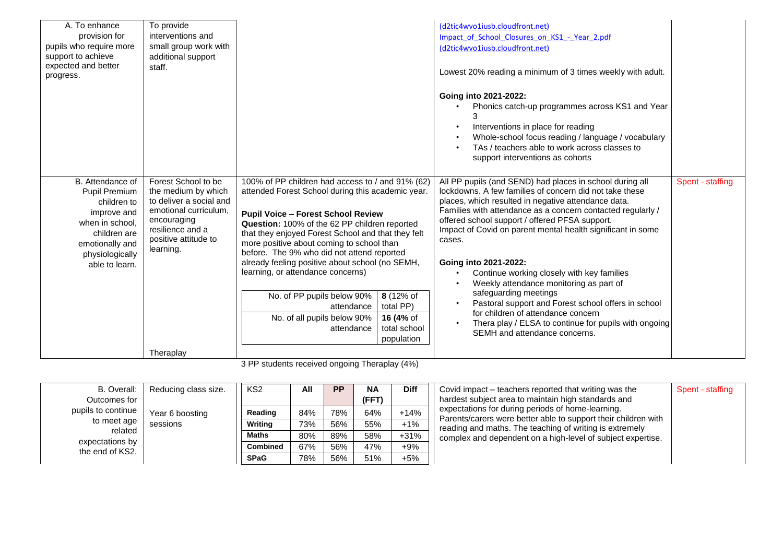| A. To enhance<br>provision for<br>pupils who require more<br>support to achieve<br>expected and better<br>progress.                                        | To provide<br>interventions and<br>small group work with<br>additional support<br>staff.                                                                               |                                                                                                                                                                                                                                                                                                                                                                                                                                                                                                                                                                                                            | (d2tic4wvo1iusb.cloudfront.net)<br>Impact of School Closures on KS1 - Year 2.pdf<br>(d2tic4wvo1iusb.cloudfront.net)<br>Lowest 20% reading a minimum of 3 times weekly with adult.<br>Going into 2021-2022:<br>Phonics catch-up programmes across KS1 and Year<br>Interventions in place for reading<br>Whole-school focus reading / language / vocabulary<br>TAs / teachers able to work across classes to<br>support interventions as cohorts                                                                                                                                                                                                                                                         |                  |
|------------------------------------------------------------------------------------------------------------------------------------------------------------|------------------------------------------------------------------------------------------------------------------------------------------------------------------------|------------------------------------------------------------------------------------------------------------------------------------------------------------------------------------------------------------------------------------------------------------------------------------------------------------------------------------------------------------------------------------------------------------------------------------------------------------------------------------------------------------------------------------------------------------------------------------------------------------|--------------------------------------------------------------------------------------------------------------------------------------------------------------------------------------------------------------------------------------------------------------------------------------------------------------------------------------------------------------------------------------------------------------------------------------------------------------------------------------------------------------------------------------------------------------------------------------------------------------------------------------------------------------------------------------------------------|------------------|
| B. Attendance of<br>Pupil Premium<br>children to<br>improve and<br>when in school.<br>children are<br>emotionally and<br>physiologically<br>able to learn. | Forest School to be<br>the medium by which<br>to deliver a social and<br>emotional curriculum,<br>encouraging<br>resilience and a<br>positive attitude to<br>learning. | 100% of PP children had access to / and 91% (62)<br>attended Forest School during this academic year.<br><b>Pupil Voice - Forest School Review</b><br>Question: 100% of the 62 PP children reported<br>that they enjoyed Forest School and that they felt<br>more positive about coming to school than<br>before. The 9% who did not attend reported<br>already feeling positive about school (no SEMH,<br>learning, or attendance concerns)<br>No. of PP pupils below 90%<br>8 (12% of<br>total PP)<br>attendance<br>No. of all pupils below 90%<br>16 (4% of<br>total school<br>attendance<br>population | All PP pupils (and SEND) had places in school during all<br>lockdowns. A few families of concern did not take these<br>places, which resulted in negative attendance data.<br>Families with attendance as a concern contacted regularly /<br>offered school support / offered PFSA support.<br>Impact of Covid on parent mental health significant in some<br>cases.<br>Going into 2021-2022:<br>Continue working closely with key families<br>Weekly attendance monitoring as part of<br>safeguarding meetings<br>Pastoral support and Forest school offers in school<br>for children of attendance concern<br>Thera play / ELSA to continue for pupils with ongoing<br>SEMH and attendance concerns. | Spent - staffing |
|                                                                                                                                                            | Theraplay                                                                                                                                                              |                                                                                                                                                                                                                                                                                                                                                                                                                                                                                                                                                                                                            |                                                                                                                                                                                                                                                                                                                                                                                                                                                                                                                                                                                                                                                                                                        |                  |

3 PP students received ongoing Theraplay (4%)

| B. Overall:                                                                        | Reducing class size.        | KS <sub>2</sub> | All             | <b>PP</b>            | <b>NA</b>                                                   | <b>Diff</b> | Covid impact – teachers reported that writing was the                                                               | Spent - staffing |
|------------------------------------------------------------------------------------|-----------------------------|-----------------|-----------------|----------------------|-------------------------------------------------------------|-------------|---------------------------------------------------------------------------------------------------------------------|------------------|
| Outcomes for                                                                       |                             |                 |                 |                      | (FFT)                                                       |             | hardest subject area to maintain high standards and                                                                 |                  |
| pupils to continue<br>to meet age<br>related<br>expectations by<br>the end of KS2. | Year 6 boosting<br>sessions | Reading         | 84%             | 78%                  | 64%                                                         | $+14%$      | expectations for during periods of home-learning.<br>Parents/carers were better able to support their children with |                  |
|                                                                                    |                             | Writing         | 73%             | 56%                  | 55%                                                         | $+1\%$      | reading and maths. The teaching of writing is extremely                                                             |                  |
|                                                                                    |                             | Maths           | 80%             | $+31%$<br>58%<br>89% | complex and dependent on a high-level of subject expertise. |             |                                                                                                                     |                  |
|                                                                                    |                             |                 | <b>Combined</b> | 67%                  | 56%                                                         | 47%         | $+9%$                                                                                                               |                  |
|                                                                                    |                             | <b>SPaG</b>     | 78%             | 56%                  | 51%                                                         | $+5%$       |                                                                                                                     |                  |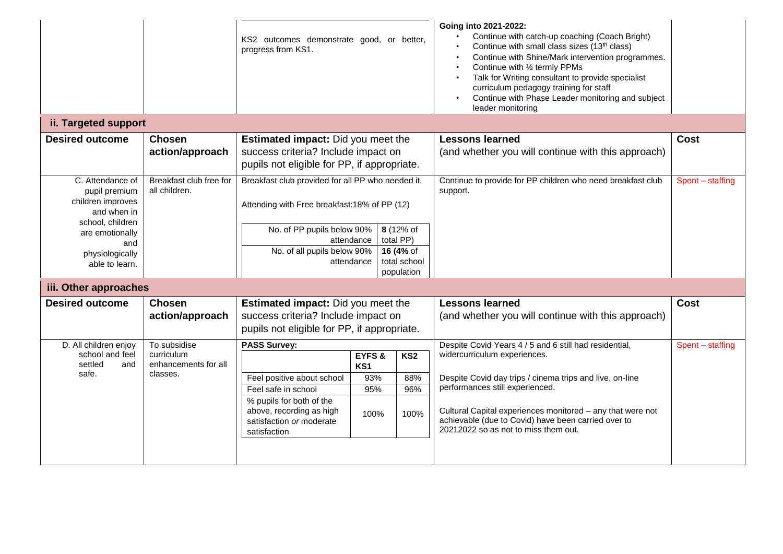|                                                                                                                                                          |                                                                | KS2 outcomes demonstrate good, or better,<br>progress from KS1.                                                                                                              |                                    |                                                                   | Going into 2021-2022:<br>Continue with catch-up coaching (Coach Bright)<br>Continue with small class sizes (13 <sup>th</sup> class)<br>Continue with Shine/Mark intervention programmes.<br>Continue with 1/2 termly PPMs<br>Talk for Writing consultant to provide specialist<br>curriculum pedagogy training for staff<br>Continue with Phase Leader monitoring and subject<br>$\bullet$<br>leader monitoring |                  |
|----------------------------------------------------------------------------------------------------------------------------------------------------------|----------------------------------------------------------------|------------------------------------------------------------------------------------------------------------------------------------------------------------------------------|------------------------------------|-------------------------------------------------------------------|-----------------------------------------------------------------------------------------------------------------------------------------------------------------------------------------------------------------------------------------------------------------------------------------------------------------------------------------------------------------------------------------------------------------|------------------|
| ii. Targeted support                                                                                                                                     |                                                                |                                                                                                                                                                              |                                    |                                                                   |                                                                                                                                                                                                                                                                                                                                                                                                                 |                  |
| <b>Desired outcome</b>                                                                                                                                   | <b>Chosen</b><br>action/approach                               | <b>Estimated impact:</b> Did you meet the<br>success criteria? Include impact on<br>pupils not eligible for PP, if appropriate.                                              |                                    |                                                                   | <b>Lessons learned</b><br>(and whether you will continue with this approach)                                                                                                                                                                                                                                                                                                                                    | <b>Cost</b>      |
| C. Attendance of<br>pupil premium<br>children improves<br>and when in<br>school, children<br>are emotionally<br>and<br>physiologically<br>able to learn. | Breakfast club free for<br>all children.                       | Breakfast club provided for all PP who needed it.<br>Attending with Free breakfast:18% of PP (12)<br>No. of PP pupils below 90%<br>No. of all pupils below 90%               | attendance<br>attendance           | 8 (12% of<br>total PP)<br>16 (4% of<br>total school<br>population | Continue to provide for PP children who need breakfast club<br>support.                                                                                                                                                                                                                                                                                                                                         | Spent - staffing |
| iii. Other approaches                                                                                                                                    |                                                                |                                                                                                                                                                              |                                    |                                                                   |                                                                                                                                                                                                                                                                                                                                                                                                                 |                  |
| <b>Desired outcome</b>                                                                                                                                   | <b>Chosen</b><br>action/approach                               | <b>Estimated impact:</b> Did you meet the<br>success criteria? Include impact on<br>pupils not eligible for PP, if appropriate.                                              |                                    |                                                                   | <b>Lessons learned</b><br>(and whether you will continue with this approach)                                                                                                                                                                                                                                                                                                                                    | <b>Cost</b>      |
| D. All children enjoy<br>school and feel<br>settled<br>and<br>safe.                                                                                      | To subsidise<br>curriculum<br>enhancements for all<br>classes. | <b>PASS Survey:</b><br>Feel positive about school<br>Feel safe in school<br>% pupils for both of the<br>above, recording as high<br>satisfaction or moderate<br>satisfaction | EYFS&<br>KS1<br>93%<br>95%<br>100% | KS2<br>88%<br>96%<br>100%                                         | Despite Covid Years 4 / 5 and 6 still had residential,<br>widercurriculum experiences.<br>Despite Covid day trips / cinema trips and live, on-line<br>performances still experienced.<br>Cultural Capital experiences monitored - any that were not<br>achievable (due to Covid) have been carried over to<br>20212022 so as not to miss them out.                                                              | Spent - staffing |